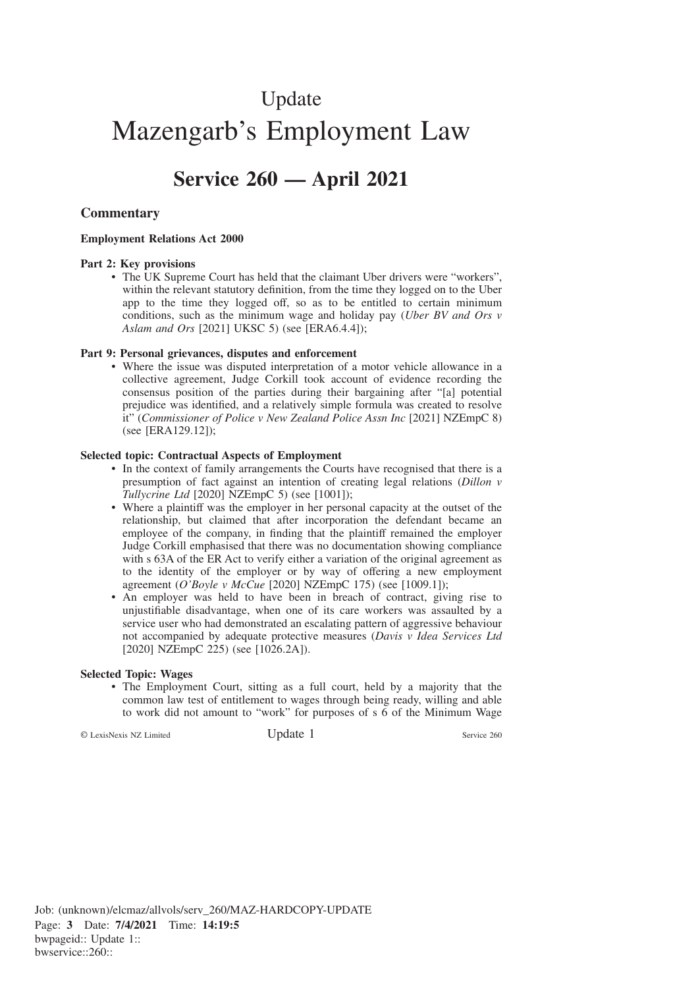# Update Mazengarb's Employment Law

# **Service 260 — April 2021**

### **Commentary**

#### **Employment Relations Act 2000**

#### **Part 2: Key provisions**

• The UK Supreme Court has held that the claimant Uber drivers were "workers", within the relevant statutory definition, from the time they logged on to the Uber app to the time they logged off, so as to be entitled to certain minimum conditions, such as the minimum wage and holiday pay (*Uber BV and Ors v Aslam and Ors* [2021] UKSC 5) (see [ERA6.4.4]);

#### **Part 9: Personal grievances, disputes and enforcement**

• Where the issue was disputed interpretation of a motor vehicle allowance in a collective agreement, Judge Corkill took account of evidence recording the consensus position of the parties during their bargaining after "[a] potential prejudice was identified, and a relatively simple formula was created to resolve it" (*Commissioner of Police v New Zealand Police Assn Inc* [2021] NZEmpC 8) (see [ERA129.12]);

#### **Selected topic: Contractual Aspects of Employment**

- In the context of family arrangements the Courts have recognised that there is a presumption of fact against an intention of creating legal relations (*Dillon v Tullycrine Ltd* [2020] NZEmpC 5) (see [1001]);
- Where a plaintiff was the employer in her personal capacity at the outset of the relationship, but claimed that after incorporation the defendant became an employee of the company, in finding that the plaintiff remained the employer Judge Corkill emphasised that there was no documentation showing compliance with s 63A of the ER Act to verify either a variation of the original agreement as to the identity of the employer or by way of offering a new employment agreement (*O'Boyle v McCue* [2020] NZEmpC 175) (see [1009.1]);
- An employer was held to have been in breach of contract, giving rise to unjustifiable disadvantage, when one of its care workers was assaulted by a service user who had demonstrated an escalating pattern of aggressive behaviour not accompanied by adequate protective measures (*Davis v Idea Services Ltd* [2020] NZEmpC 225) (see [1026.2A]).

#### **Selected Topic: Wages**

• The Employment Court, sitting as a full court, held by a majority that the common law test of entitlement to wages through being ready, willing and able to work did not amount to "work" for purposes of s 6 of the Minimum Wage